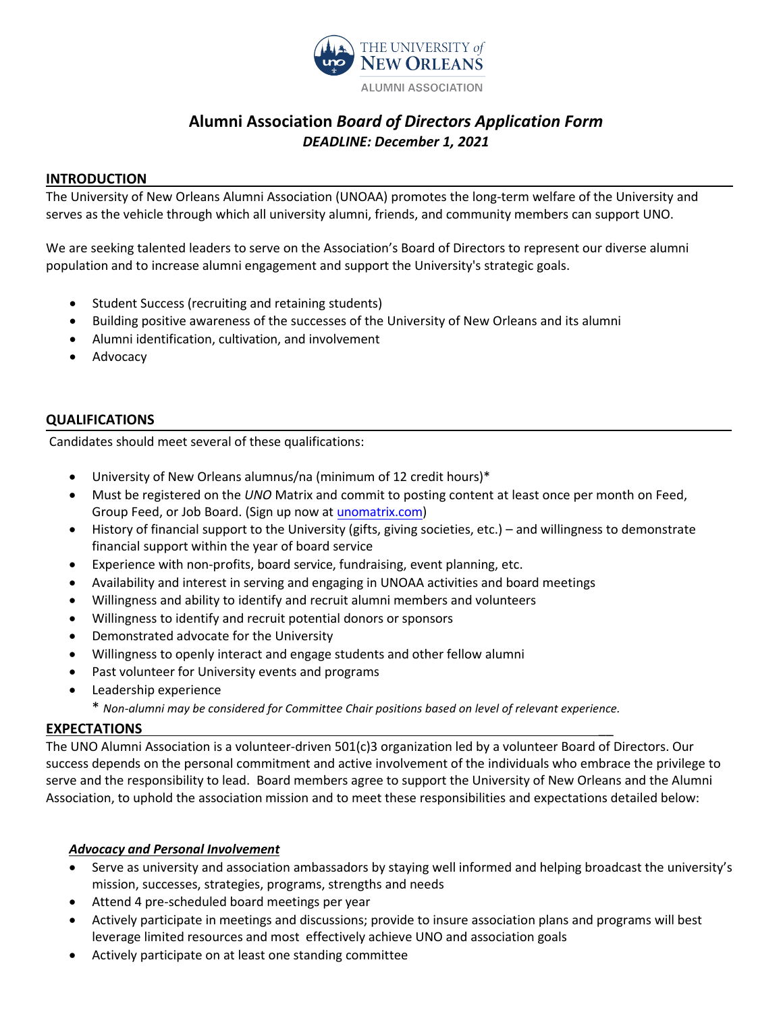

# **Alumni Association** *Board of Directors Application Form DEADLINE: December 1, 2021*

#### **INTRODUCTION**

The University of New Orleans Alumni Association (UNOAA) promotes the long-term welfare of the University and serves as the vehicle through which all university alumni, friends, and community members can support UNO.

We are seeking talented leaders to serve on the Association's Board of Directors to represent our diverse alumni population and to increase alumni engagement and support the University's strategic goals.

- Student Success (recruiting and retaining students)
- Building positive awareness of the successes of the University of New Orleans and its alumni
- Alumni identification, cultivation, and involvement
- **Advocacy**

#### **QUALIFICATIONS**

Candidates should meet several of these qualifications:

- University of New Orleans alumnus/na (minimum of 12 credit hours)\*
- Must be registered on the *UNO* Matrix and commit to posting content at least once per month on Feed, Group Feed, or Job Board. (Sign up now at [unomatrix.com](https://unomatrix.com))
- History of financial support to the University (gifts, giving societies, etc.) and willingness to demonstrate financial support within the year of board service
- Experience with non-profits, board service, fundraising, event planning, etc.
- Availability and interest in serving and engaging in UNOAA activities and board meetings
- Willingness and ability to identify and recruit alumni members and volunteers
- Willingness to identify and recruit potential donors or sponsors
- Demonstrated advocate for the University
- Willingness to openly interact and engage students and other fellow alumni
- Past volunteer for University events and programs
- Leadership experience
	- \* *Non-alumni may be considered for Committee Chair positions based on level of relevant experience.*

#### **EXPECTATIONS** \_\_

The UNO Alumni Association is a volunteer-driven 501(c)3 organization led by a volunteer Board of Directors. Our success depends on the personal commitment and active involvement of the individuals who embrace the privilege to serve and the responsibility to lead. Board members agree to support the University of New Orleans and the Alumni Association, to uphold the association mission and to meet these responsibilities and expectations detailed below:

#### *Advocacy and Personal Involvement*

- Serve as university and association ambassadors by staying well informed and helping broadcast the university's mission, successes, strategies, programs, strengths and needs
- Attend 4 pre-scheduled board meetings per year
- Actively participate in meetings and discussions; provide to insure association plans and programs will best leverage limited resources and most effectively achieve UNO and association goals
- Actively participate on at least one standing committee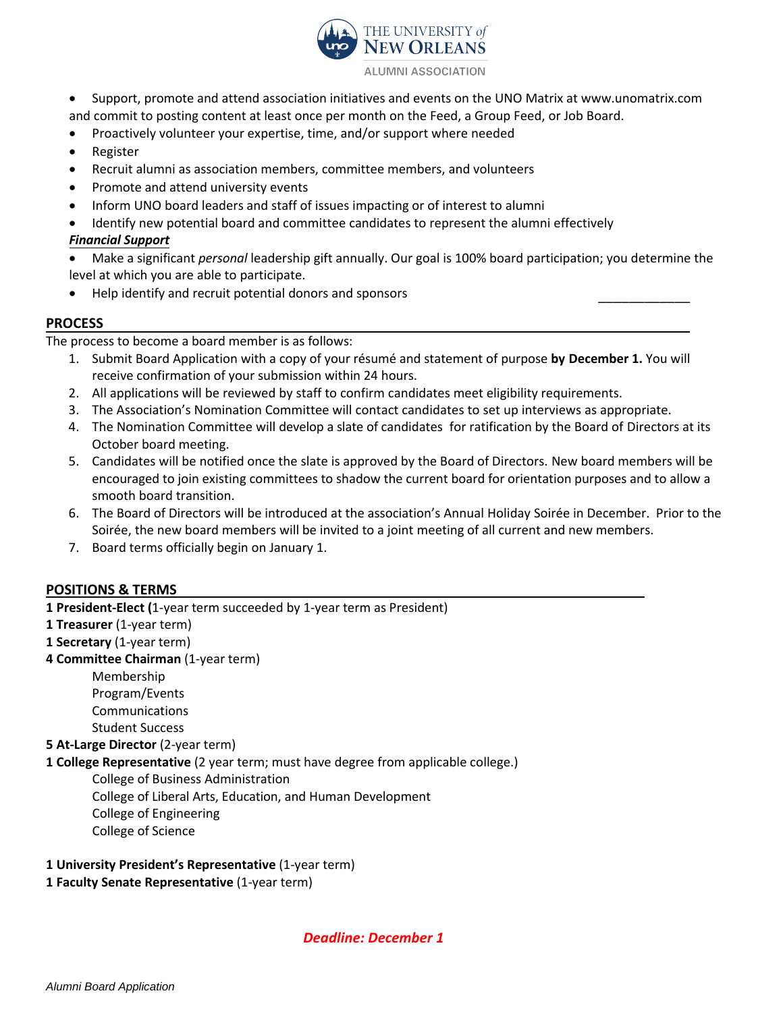

- Support, promote and attend association initiatives and events on the UNO Matrix at www.unomatrix.com and commit to posting content at least once per month on the Feed, a Group Feed, or Job Board.
- Proactively volunteer your expertise, time, and/or support where needed
- **Register**
- Recruit alumni as association members, committee members, and volunteers
- Promote and attend university events
- Inform UNO board leaders and staff of issues impacting or of interest to alumni
- Identify new potential board and committee candidates to represent the alumni effectively *Financial Support*

• Make a significant *personal* leadership gift annually. Our goal is 100% board participation; you determine the level at which you are able to participate.

\_\_\_\_\_\_\_\_\_\_\_\_

• Help identify and recruit potential donors and sponsors

#### **PROCESS**

The process to become a board member is as follows:

- 1. Submit Board Application with a copy of your résumé and statement of purpose **by December 1.** You will receive confirmation of your submission within 24 hours.
- 2. All applications will be reviewed by staff to confirm candidates meet eligibility requirements.
- 3. The Association's Nomination Committee will contact candidates to set up interviews as appropriate.
- 4. The Nomination Committee will develop a slate of candidates for ratification by the Board of Directors at its October board meeting.
- 5. Candidates will be notified once the slate is approved by the Board of Directors. New board members will be encouraged to join existing committees to shadow the current board for orientation purposes and to allow a smooth board transition.
- 6. The Board of Directors will be introduced at the association's Annual Holiday Soirée in December. Prior to the Soirée, the new board members will be invited to a joint meeting of all current and new members.
- 7. Board terms officially begin on January 1.

### **POSITIONS & TERMS**

**1 President-Elect (**1-year term succeeded by 1-year term as President)

- **1 Treasurer** (1-year term)
- **1 Secretary** (1-year term)
- **4 Committee Chairman** (1-year term)

Membership Program/Events Communications

Student Success

**5 At-Large Director** (2-year term)

**1 College Representative** (2 year term; must have degree from applicable college.)

College of Business Administration College of Liberal Arts, Education, and Human Development College of Engineering

- College of Science
- **1 University President's Representative** (1-year term)
- **1 Faculty Senate Representative** (1-year term)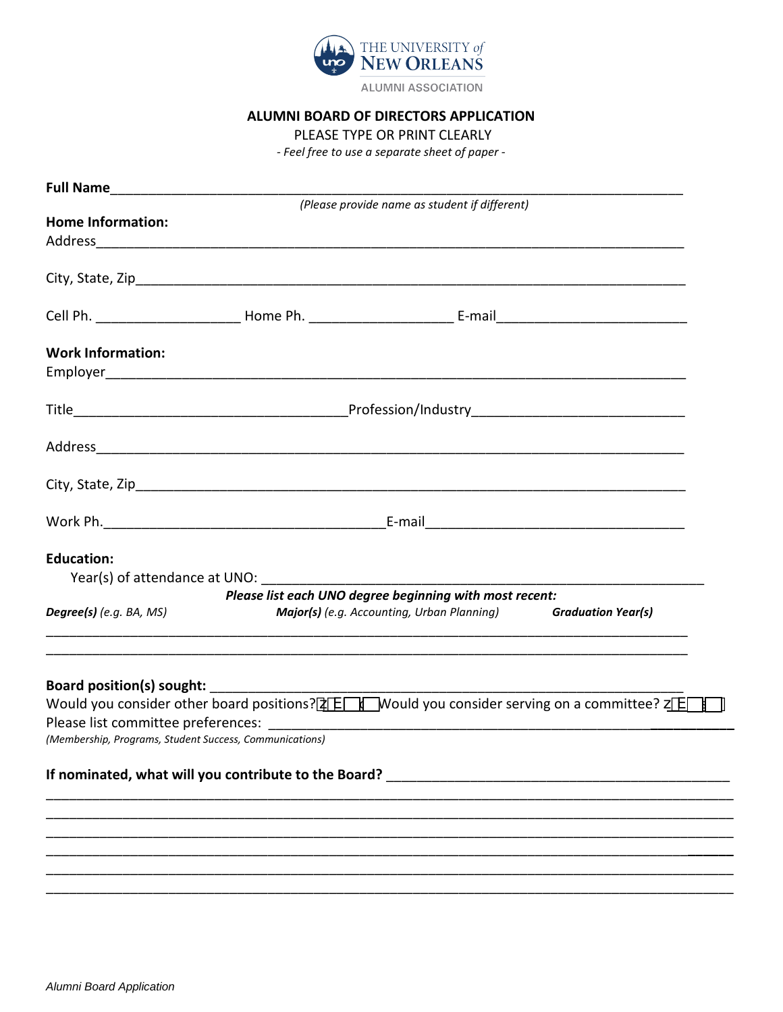

**ALUMNI ASSOCIATION** 

#### ALUMNI BOARD OF DIRECTORS APPLICATION

PLEASE TYPE OR PRINT CLEARLY

- Feel free to use a separate sheet of paper -

|                                                         |                                                             | (Please provide name as student if different)                                                                          |  |
|---------------------------------------------------------|-------------------------------------------------------------|------------------------------------------------------------------------------------------------------------------------|--|
| <b>Home Information:</b>                                |                                                             |                                                                                                                        |  |
|                                                         |                                                             |                                                                                                                        |  |
|                                                         |                                                             |                                                                                                                        |  |
|                                                         |                                                             |                                                                                                                        |  |
| <b>Work Information:</b>                                |                                                             |                                                                                                                        |  |
|                                                         |                                                             |                                                                                                                        |  |
|                                                         |                                                             |                                                                                                                        |  |
|                                                         |                                                             |                                                                                                                        |  |
|                                                         |                                                             |                                                                                                                        |  |
| <b>Education:</b>                                       |                                                             |                                                                                                                        |  |
|                                                         | Year(s) of attendance at UNO: Year(s) of attendance at UNO: |                                                                                                                        |  |
|                                                         |                                                             | Please list each UNO degree beginning with most recent:                                                                |  |
| Degree(s) (e.g. BA, MS)                                 |                                                             | Major(s) (e.g. Accounting, Urban Planning) Graduation Year(s)                                                          |  |
| Board position(s) sought:                               |                                                             |                                                                                                                        |  |
|                                                         |                                                             | Would you consider other board positions? $\frac{1}{2}$ V Mould you consider serving on a committee? $\frac{1}{2}$ V I |  |
|                                                         |                                                             |                                                                                                                        |  |
| (Membership, Programs, Student Success, Communications) |                                                             |                                                                                                                        |  |
|                                                         | If nominated, what will you contribute to the Board?        |                                                                                                                        |  |
|                                                         |                                                             |                                                                                                                        |  |
|                                                         |                                                             |                                                                                                                        |  |
|                                                         |                                                             |                                                                                                                        |  |
|                                                         |                                                             |                                                                                                                        |  |
|                                                         |                                                             |                                                                                                                        |  |
|                                                         |                                                             |                                                                                                                        |  |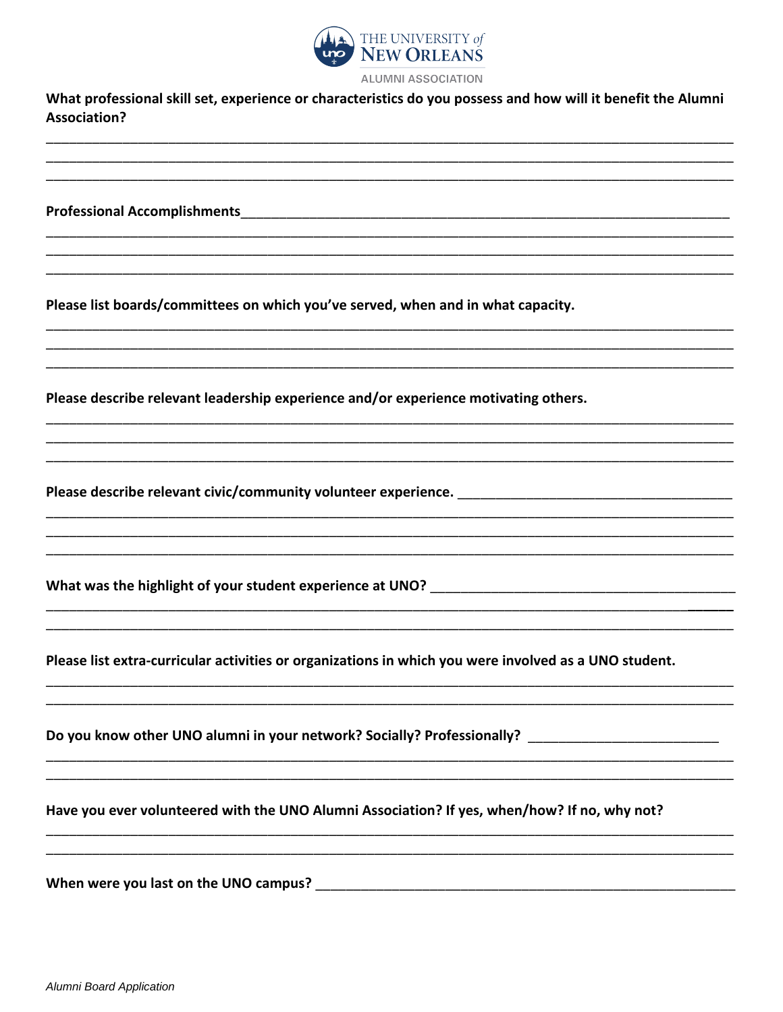

What professional skill set, experience or characteristics do you possess and how will it benefit the Alumni **Association?** 

**Professional Accomplishments Example 2018** 

Please list boards/committees on which you've served, when and in what capacity.

Please describe relevant leadership experience and/or experience motivating others.

Please describe relevant civic/community volunteer experience. \_\_\_\_\_\_\_\_\_\_\_\_\_\_\_\_\_

Please list extra-curricular activities or organizations in which you were involved as a UNO student.

Do you know other UNO alumni in your network? Socially? Professionally? \_\_\_\_\_\_\_\_\_\_\_\_\_\_\_\_\_\_\_\_\_\_\_\_\_\_\_

Have you ever volunteered with the UNO Alumni Association? If yes, when/how? If no, why not?